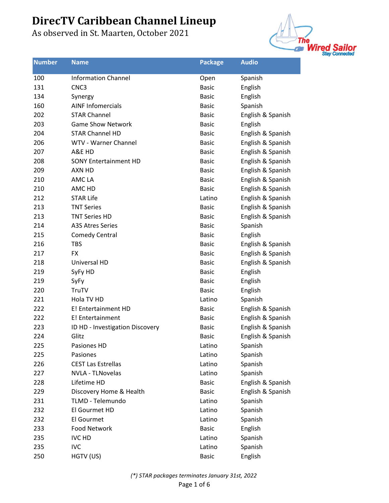

| <b>Number</b> | <b>Name</b>                     | <b>Package</b> | <b>Audio</b>      |
|---------------|---------------------------------|----------------|-------------------|
| 100           | <b>Information Channel</b>      | Open           | Spanish           |
| 131           | CNC <sub>3</sub>                | <b>Basic</b>   | English           |
| 134           | Synergy                         | <b>Basic</b>   | English           |
| 160           | <b>AINF Infomercials</b>        | <b>Basic</b>   | Spanish           |
| 202           | <b>STAR Channel</b>             | <b>Basic</b>   | English & Spanish |
| 203           | <b>Game Show Network</b>        | Basic          | English           |
| 204           | <b>STAR Channel HD</b>          | <b>Basic</b>   | English & Spanish |
| 206           | WTV - Warner Channel            | <b>Basic</b>   | English & Spanish |
| 207           | A&E HD                          | <b>Basic</b>   | English & Spanish |
| 208           | <b>SONY Entertainment HD</b>    | <b>Basic</b>   | English & Spanish |
| 209           | AXN HD                          | <b>Basic</b>   | English & Spanish |
| 210           | AMC LA                          | <b>Basic</b>   | English & Spanish |
| 210           | AMC HD                          | <b>Basic</b>   | English & Spanish |
| 212           | <b>STAR Life</b>                | Latino         | English & Spanish |
| 213           | <b>TNT Series</b>               | <b>Basic</b>   | English & Spanish |
| 213           | <b>TNT Series HD</b>            | <b>Basic</b>   | English & Spanish |
| 214           | <b>A3S Atres Series</b>         | <b>Basic</b>   | Spanish           |
| 215           | <b>Comedy Central</b>           | <b>Basic</b>   | English           |
| 216           | <b>TBS</b>                      | <b>Basic</b>   | English & Spanish |
| 217           | <b>FX</b>                       | <b>Basic</b>   | English & Spanish |
| 218           | Universal HD                    | <b>Basic</b>   | English & Spanish |
| 219           | SyFy HD                         | <b>Basic</b>   | English           |
| 219           | SyFy                            | <b>Basic</b>   | English           |
| 220           | TruTV                           | <b>Basic</b>   | English           |
| 221           | Hola TV HD                      | Latino         | Spanish           |
| 222           | E! Entertainment HD             | <b>Basic</b>   | English & Spanish |
| 222           | E! Entertainment                | <b>Basic</b>   | English & Spanish |
| 223           | ID HD - Investigation Discovery | <b>Basic</b>   | English & Spanish |
| 224           | Glitz                           | <b>Basic</b>   | English & Spanish |
| 225           | Pasiones HD                     | Latino         | Spanish           |
| 225           | Pasiones                        | Latino         | Spanish           |
| 226           | <b>CEST Las Estrellas</b>       | Latino         | Spanish           |
| 227           | NVLA - TLNovelas                | Latino         | Spanish           |
| 228           | Lifetime HD                     | <b>Basic</b>   | English & Spanish |
| 229           | Discovery Home & Health         | <b>Basic</b>   | English & Spanish |
| 231           | TLMD - Telemundo                | Latino         | Spanish           |
| 232           | El Gourmet HD                   | Latino         | Spanish           |
| 232           | El Gourmet                      | Latino         | Spanish           |
| 233           | <b>Food Network</b>             | <b>Basic</b>   | English           |
| 235           | <b>IVC HD</b>                   | Latino         | Spanish           |
| 235           | <b>IVC</b>                      | Latino         | Spanish           |
| 250           | HGTV (US)                       | <b>Basic</b>   | English           |
|               |                                 |                |                   |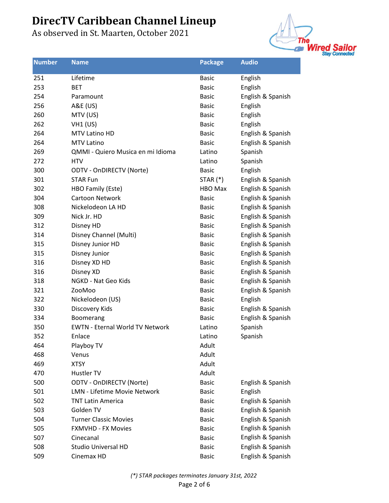

| <b>Number</b> | <b>Name</b>                            | <b>Package</b> | <b>Audio</b>      |
|---------------|----------------------------------------|----------------|-------------------|
| 251           | Lifetime                               | <b>Basic</b>   | English           |
| 253           | <b>BET</b>                             | <b>Basic</b>   | English           |
| 254           | Paramount                              | <b>Basic</b>   | English & Spanish |
| 256           | A&E (US)                               | <b>Basic</b>   | English           |
| 260           | MTV (US)                               | <b>Basic</b>   | English           |
| 262           | $VH1$ (US)                             | <b>Basic</b>   | English           |
| 264           | MTV Latino HD                          | <b>Basic</b>   | English & Spanish |
| 264           | <b>MTV Latino</b>                      | <b>Basic</b>   | English & Spanish |
| 269           | QMMI - Quiero Musica en mi Idioma      | Latino         | Spanish           |
| 272           | <b>HTV</b>                             | Latino         | Spanish           |
| 300           | <b>ODTV - OnDIRECTV (Norte)</b>        | <b>Basic</b>   | English           |
| 301           | <b>STAR Fun</b>                        | STAR $(*)$     | English & Spanish |
| 302           | HBO Family (Este)                      | HBO Max        | English & Spanish |
| 304           | Cartoon Network                        | <b>Basic</b>   | English & Spanish |
| 308           | Nickelodeon LA HD                      | <b>Basic</b>   | English & Spanish |
| 309           | Nick Jr. HD                            | <b>Basic</b>   | English & Spanish |
| 312           | Disney HD                              | <b>Basic</b>   | English & Spanish |
| 314           | Disney Channel (Multi)                 | <b>Basic</b>   | English & Spanish |
| 315           | Disney Junior HD                       | <b>Basic</b>   | English & Spanish |
| 315           | Disney Junior                          | <b>Basic</b>   | English & Spanish |
| 316           | Disney XD HD                           | <b>Basic</b>   | English & Spanish |
| 316           | Disney XD                              | <b>Basic</b>   | English & Spanish |
| 318           | NGKD - Nat Geo Kids                    | <b>Basic</b>   | English & Spanish |
| 321           | ZooMoo                                 | <b>Basic</b>   | English & Spanish |
| 322           | Nickelodeon (US)                       | <b>Basic</b>   | English           |
| 330           | Discovery Kids                         | <b>Basic</b>   | English & Spanish |
| 334           | Boomerang                              | <b>Basic</b>   | English & Spanish |
| 350           | <b>EWTN - Eternal World TV Network</b> | Latino         | Spanish           |
| 352           | Enlace                                 | Latino         | Spanish           |
| 464           | Playboy TV                             | Adult          |                   |
| 468           | Venus                                  | Adult          |                   |
| 469           | <b>XTSY</b>                            | Adult          |                   |
| 470           | Hustler TV                             | Adult          |                   |
| 500           | <b>ODTV - OnDIRECTV (Norte)</b>        | <b>Basic</b>   | English & Spanish |
| 501           | <b>LMN - Lifetime Movie Network</b>    | <b>Basic</b>   | English           |
| 502           | <b>TNT Latin America</b>               | <b>Basic</b>   | English & Spanish |
| 503           | Golden TV                              | <b>Basic</b>   | English & Spanish |
| 504           | <b>Turner Classic Movies</b>           | <b>Basic</b>   | English & Spanish |
| 505           | <b>FXMVHD - FX Movies</b>              | <b>Basic</b>   | English & Spanish |
| 507           | Cinecanal                              | <b>Basic</b>   | English & Spanish |
| 508           | <b>Studio Universal HD</b>             | <b>Basic</b>   | English & Spanish |
| 509           | Cinemax HD                             | <b>Basic</b>   | English & Spanish |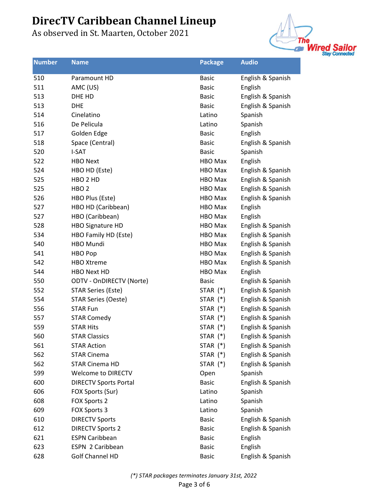

| <b>Number</b> | <b>Name</b>                     | <b>Package</b> | <b>Audio</b>      |
|---------------|---------------------------------|----------------|-------------------|
| 510           | Paramount HD                    | <b>Basic</b>   | English & Spanish |
| 511           | AMC (US)                        | <b>Basic</b>   | English           |
| 513           | DHE HD                          | <b>Basic</b>   | English & Spanish |
| 513           | <b>DHE</b>                      | <b>Basic</b>   | English & Spanish |
| 514           | Cinelatino                      | Latino         | Spanish           |
| 516           | De Pelicula                     | Latino         | Spanish           |
| 517           | Golden Edge                     | <b>Basic</b>   | English           |
| 518           | Space (Central)                 | <b>Basic</b>   | English & Spanish |
| 520           | I-SAT                           | <b>Basic</b>   | Spanish           |
| 522           | <b>HBO Next</b>                 | <b>HBO Max</b> | English           |
| 524           | HBO HD (Este)                   | <b>HBO Max</b> | English & Spanish |
| 525           | HBO <sub>2</sub> HD             | HBO Max        | English & Spanish |
| 525           | HBO <sub>2</sub>                | <b>HBO Max</b> | English & Spanish |
| 526           | HBO Plus (Este)                 | <b>HBO Max</b> | English & Spanish |
| 527           | HBO HD (Caribbean)              | HBO Max        | English           |
| 527           | HBO (Caribbean)                 | <b>HBO Max</b> | English           |
| 528           | <b>HBO Signature HD</b>         | HBO Max        | English & Spanish |
| 534           | HBO Family HD (Este)            | <b>HBO Max</b> | English & Spanish |
| 540           | <b>HBO Mundi</b>                | HBO Max        | English & Spanish |
| 541           | <b>HBO Pop</b>                  | <b>HBO Max</b> | English & Spanish |
| 542           | <b>HBO Xtreme</b>               | <b>HBO Max</b> | English & Spanish |
| 544           | <b>HBO Next HD</b>              | <b>HBO Max</b> | English           |
| 550           | <b>ODTV - OnDIRECTV (Norte)</b> | <b>Basic</b>   | English & Spanish |
| 552           | <b>STAR Series (Este)</b>       | STAR (*)       | English & Spanish |
| 554           | <b>STAR Series (Oeste)</b>      | STAR $(*)$     | English & Spanish |
| 556           | <b>STAR Fun</b>                 | STAR $(*)$     | English & Spanish |
| 557           | <b>STAR Comedy</b>              | STAR $(*)$     | English & Spanish |
| 559           | <b>STAR Hits</b>                | STAR $(*)$     | English & Spanish |
| 560           | <b>STAR Classics</b>            | STAR (*)       | English & Spanish |
| 561           | <b>STAR Action</b>              | STAR (*)       | English & Spanish |
| 562           | <b>STAR Cinema</b>              | STAR $(*)$     | English & Spanish |
| 562           | <b>STAR Cinema HD</b>           | STAR $(*)$     | English & Spanish |
| 599           | <b>Welcome to DIRECTV</b>       | Open           | Spanish           |
| 600           | <b>DIRECTV Sports Portal</b>    | <b>Basic</b>   | English & Spanish |
| 606           | FOX Sports (Sur)                | Latino         | Spanish           |
| 608           | FOX Sports 2                    | Latino         | Spanish           |
| 609           | FOX Sports 3                    | Latino         | Spanish           |
| 610           | <b>DIRECTV Sports</b>           | <b>Basic</b>   | English & Spanish |
| 612           | <b>DIRECTV Sports 2</b>         | <b>Basic</b>   | English & Spanish |
| 621           | <b>ESPN Caribbean</b>           | <b>Basic</b>   | English           |
| 623           | ESPN 2 Caribbean                | <b>Basic</b>   | English           |
| 628           | Golf Channel HD                 | <b>Basic</b>   | English & Spanish |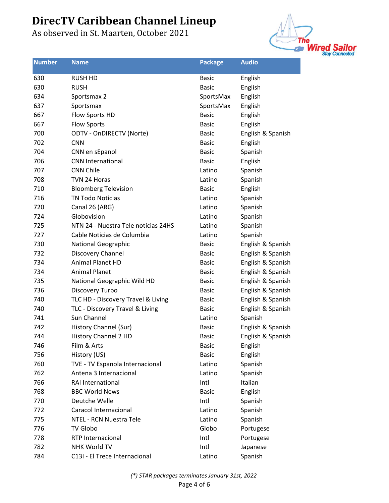

| <b>Number</b> | <b>Name</b>                         | <b>Package</b> | <b>Audio</b>      |
|---------------|-------------------------------------|----------------|-------------------|
| 630           | <b>RUSH HD</b>                      | <b>Basic</b>   | English           |
| 630           | <b>RUSH</b>                         | <b>Basic</b>   | English           |
| 634           | Sportsmax 2                         | SportsMax      | English           |
| 637           | Sportsmax                           | SportsMax      | English           |
| 667           | Flow Sports HD                      | <b>Basic</b>   | English           |
| 667           | <b>Flow Sports</b>                  | <b>Basic</b>   | English           |
| 700           | <b>ODTV - OnDIRECTV (Norte)</b>     | <b>Basic</b>   | English & Spanish |
| 702           | <b>CNN</b>                          | <b>Basic</b>   | English           |
| 704           | CNN en sEpanol                      | <b>Basic</b>   | Spanish           |
| 706           | <b>CNN International</b>            | <b>Basic</b>   | English           |
| 707           | <b>CNN Chile</b>                    | Latino         | Spanish           |
| 708           | TVN 24 Horas                        | Latino         | Spanish           |
| 710           | <b>Bloomberg Television</b>         | <b>Basic</b>   | English           |
| 716           | <b>TN Todo Noticias</b>             | Latino         | Spanish           |
| 720           | Canal 26 (ARG)                      | Latino         | Spanish           |
| 724           | Globovision                         | Latino         | Spanish           |
| 725           | NTN 24 - Nuestra Tele noticias 24HS | Latino         | Spanish           |
| 727           | Cable Noticias de Columbia          | Latino         | Spanish           |
| 730           | <b>National Geographic</b>          | <b>Basic</b>   | English & Spanish |
| 732           | Discovery Channel                   | <b>Basic</b>   | English & Spanish |
| 734           | <b>Animal Planet HD</b>             | <b>Basic</b>   | English & Spanish |
| 734           | <b>Animal Planet</b>                | <b>Basic</b>   | English & Spanish |
| 735           | National Geographic Wild HD         | <b>Basic</b>   | English & Spanish |
| 736           | Discovery Turbo                     | <b>Basic</b>   | English & Spanish |
| 740           | TLC HD - Discovery Travel & Living  | <b>Basic</b>   | English & Spanish |
| 740           | TLC - Discovery Travel & Living     | <b>Basic</b>   | English & Spanish |
| 741           | Sun Channel                         | Latino         | Spanish           |
| 742           | History Channel (Sur)               | <b>Basic</b>   | English & Spanish |
| 744           | <b>History Channel 2 HD</b>         | <b>Basic</b>   | English & Spanish |
| 746           | Film & Arts                         | <b>Basic</b>   | English           |
| 756           | History (US)                        | <b>Basic</b>   | English           |
| 760           | TVE - TV Espanola Internacional     | Latino         | Spanish           |
| 762           | Antena 3 Internacional              | Latino         | Spanish           |
| 766           | RAI International                   | Intl           | Italian           |
| 768           | <b>BBC World News</b>               | <b>Basic</b>   | English           |
| 770           | Deutche Welle                       | Intl           | Spanish           |
| 772           | Caracol Internacional               | Latino         | Spanish           |
| 775           | NTEL - RCN Nuestra Tele             | Latino         | Spanish           |
| 776           | <b>TV Globo</b>                     | Globo          | Portugese         |
| 778           | <b>RTP Internacional</b>            | Intl           | Portugese         |
| 782           | <b>NHK World TV</b>                 | Intl           | Japanese          |
| 784           | C13I - El Trece Internacional       | Latino         | Spanish           |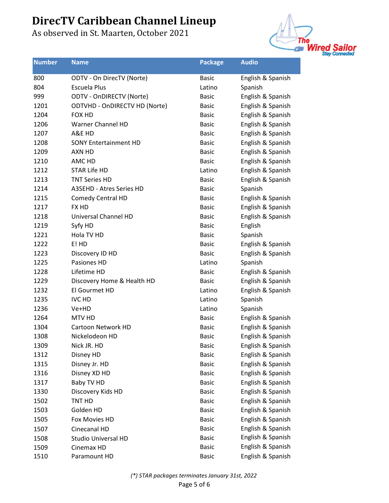

| <b>Number</b> | <b>Name</b>                          | <b>Package</b> | <b>Audio</b>      |
|---------------|--------------------------------------|----------------|-------------------|
| 800           | ODTV - On DirecTV (Norte)            | <b>Basic</b>   | English & Spanish |
| 804           | <b>Escuela Plus</b>                  | Latino         | Spanish           |
| 999           | <b>ODTV - OnDIRECTV (Norte)</b>      | <b>Basic</b>   | English & Spanish |
| 1201          | <b>ODTVHD - OnDIRECTV HD (Norte)</b> | <b>Basic</b>   | English & Spanish |
| 1204          | FOX HD                               | <b>Basic</b>   | English & Spanish |
| 1206          | Warner Channel HD                    | <b>Basic</b>   | English & Spanish |
| 1207          | A&E HD                               | <b>Basic</b>   | English & Spanish |
| 1208          | <b>SONY Entertainment HD</b>         | <b>Basic</b>   | English & Spanish |
| 1209          | AXN HD                               | <b>Basic</b>   | English & Spanish |
| 1210          | AMC HD                               | <b>Basic</b>   | English & Spanish |
| 1212          | <b>STAR Life HD</b>                  | Latino         | English & Spanish |
| 1213          | <b>TNT Series HD</b>                 | <b>Basic</b>   | English & Spanish |
| 1214          | A3SEHD - Atres Series HD             | <b>Basic</b>   | Spanish           |
| 1215          | <b>Comedy Central HD</b>             | <b>Basic</b>   | English & Spanish |
| 1217          | <b>FX HD</b>                         | <b>Basic</b>   | English & Spanish |
| 1218          | Universal Channel HD                 | <b>Basic</b>   | English & Spanish |
| 1219          | Syfy HD                              | <b>Basic</b>   | English           |
| 1221          | Hola TV HD                           | <b>Basic</b>   | Spanish           |
| 1222          | E! HD                                | <b>Basic</b>   | English & Spanish |
| 1223          | Discovery ID HD                      | <b>Basic</b>   | English & Spanish |
| 1225          | Pasiones HD                          | Latino         | Spanish           |
| 1228          | Lifetime HD                          | <b>Basic</b>   | English & Spanish |
| 1229          | Discovery Home & Health HD           | <b>Basic</b>   | English & Spanish |
| 1232          | El Gourmet HD                        | Latino         | English & Spanish |
| 1235          | <b>IVC HD</b>                        | Latino         | Spanish           |
| 1236          | Ve+HD                                | Latino         | Spanish           |
| 1264          | MTV HD                               | <b>Basic</b>   | English & Spanish |
| 1304          | Cartoon Network HD                   | <b>Basic</b>   | English & Spanish |
| 1308          | Nickelodeon HD                       | <b>Basic</b>   | English & Spanish |
| 1309          | Nick JR. HD                          | <b>Basic</b>   | English & Spanish |
| 1312          | Disney HD                            | <b>Basic</b>   | English & Spanish |
| 1315          | Disney Jr. HD                        | <b>Basic</b>   | English & Spanish |
| 1316          | Disney XD HD                         | <b>Basic</b>   | English & Spanish |
| 1317          | Baby TV HD                           | <b>Basic</b>   | English & Spanish |
| 1330          | Discovery Kids HD                    | <b>Basic</b>   | English & Spanish |
| 1502          | TNT HD                               | <b>Basic</b>   | English & Spanish |
| 1503          | Golden HD                            | <b>Basic</b>   | English & Spanish |
| 1505          | Fox Movies HD                        | <b>Basic</b>   | English & Spanish |
| 1507          | Cinecanal HD                         | <b>Basic</b>   | English & Spanish |
| 1508          | <b>Studio Universal HD</b>           | <b>Basic</b>   | English & Spanish |
| 1509          | Cinemax HD                           | <b>Basic</b>   | English & Spanish |
| 1510          | Paramount HD                         | <b>Basic</b>   | English & Spanish |